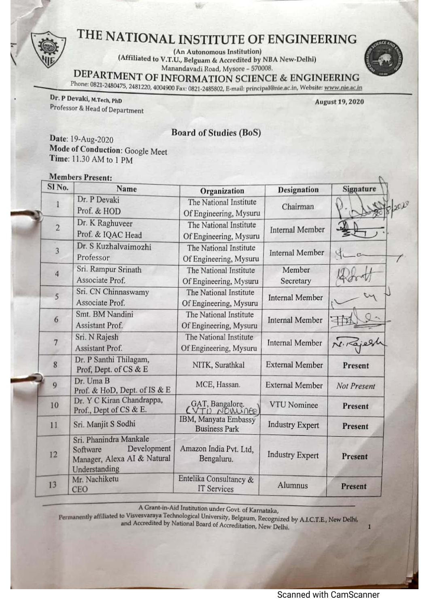(An Autonomous Institution)

(Affiliated to V.T.U., Belguam & Accredited by NBA New-Delhi) Manandavadi Road, Mysore - 570008.



DEPARTMENT OF INFORMATION SCIENCE & ENGINEERING

Phone: 0821-2480475, 2481220, 4004900 Fax: 0821-2485802, E-mail: principal@nie.ac.in, Website: www.nie.ac.in

Dr. P Devaki, M.Tech, PhD Professor & Head of Department

**August 19, 2020** 

**Board of Studies (BoS)** 

Date: 19-Aug-2020 Mode of Conduction: Google Meet Time: 11.30 AM to 1 PM

#### **Members Present:**

| SINo.          | Name                                                                                              | Organization                                                   | <b>Designation</b>     | <b>Signature</b> |  |
|----------------|---------------------------------------------------------------------------------------------------|----------------------------------------------------------------|------------------------|------------------|--|
|                | Dr. P Devaki<br>Prof. & HOD                                                                       | The National Institute<br>Of Engineering, Mysuru               | Chairman               |                  |  |
| $\overline{2}$ | Dr. K Raghuveer<br>Prof. & IQAC Head                                                              | The National Institute<br>Of Engineering, Mysuru               | <b>Internal Member</b> |                  |  |
| 3              | Dr. S Kuzhalvaimozhi<br>Professor                                                                 | The National Institute<br>Of Engineering, Mysuru               | <b>Internal Member</b> |                  |  |
| $\overline{4}$ | Sri. Rampur Srinath<br>Associate Prof.                                                            | The National Institute<br>Of Engineering, Mysuru               | Member<br>Secretary    |                  |  |
| 5              | Sri. CN Chinnaswamy<br>Associate Prof.                                                            | The National Institute<br>Of Engineering, Mysuru               | <b>Internal Member</b> |                  |  |
| 6              | Smt. BM Nandini<br>Assistant Prof.                                                                | The National Institute<br>Of Engineering, Mysuru               | <b>Internal Member</b> |                  |  |
| $\overline{7}$ | Sri. N Rajesh<br>Assistant Prof.                                                                  | The National Institute<br>Of Engineering, Mysuru               | <b>Internal Member</b> |                  |  |
| 8              | Dr. P Santhi Thilagam,<br>Prof, Dept. of CS & E                                                   | NITK, Surathkal                                                | <b>External Member</b> | Present          |  |
| 9              | Dr. Uma B<br>Prof. & HoD, Dept. of IS & E                                                         | MCE, Hassan.                                                   | <b>External Member</b> | Not Present      |  |
| 10             | Dr. Y C Kiran Chandrappa,<br>Prof., Dept of CS & E.                                               | GAT, Bangalore.<br>(VTU NOMINER)                               | <b>VTU</b> Nominee     | Present          |  |
| 11             | Sri. Manjit S Sodhi                                                                               | IBM, Manyata Embassy<br><b>Business Park</b>                   | <b>Industry Expert</b> | Present          |  |
| 12             | Sri. Phanindra Mankale<br>Development<br>Software<br>Manager, Alexa AI & Natural<br>Understanding | Amazon India Pvt. Ltd.<br><b>Industry Expert</b><br>Bengaluru. |                        | Present          |  |
| 13             | Mr. Nachiketu<br><b>CEO</b>                                                                       | Entelika Consultancy &<br>IT Services                          | Alumnus                | Present          |  |

A Grant-in-Aid Institution under Govt. of Karnataka,

Permanently affiliated to Visvesvaraya Technological University, Belgaum, Recognized by A.I.C.T.E., New Delhi, and Accredited by National Board of Accreditation, New Delhi.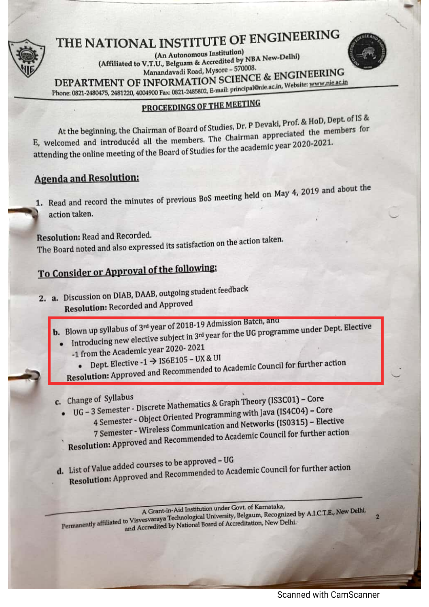

(An Autonomous Institution) (Affiliated to V.T.U., Belguam & Accredited by NBA New-Delhi) Manandavadi Road, Mysore - 570008. DEPARTMENT OF INFORMATION SCIENCE & ENGINEERING Phone: 0821-2480475, 2481220, 4004900 Fax: 0821-2485802, E-mail: principal@nie.ac.in, Website: www.nie.ac.in

## PROCEEDINGS OF THE MEETING

At the beginning, the Chairman of Board of Studies, Dr. P Devaki, Prof. & HoD, Dept. of IS & E, welcomed and introduced all the members. The Chairman appreciated the members for attending the online meeting of the Board of Studies for the academic year 2020-2021.

## **Agenda and Resolution:**

1. Read and record the minutes of previous BoS meeting held on May 4, 2019 and about the action taken.

**Resolution: Read and Recorded.** The Board noted and also expressed its satisfaction on the action taken.

## To Consider or Approval of the following:

- 2. a. Discussion on DIAB, DAAB, outgoing student feedback **Resolution: Recorded and Approved** 
	-
	- **b.** Blown up syllabus of 3<sup>rd</sup> year of 2018-19 Admission Batch, and Introducing new elective subject in 3rd year for the UG programme under Dept. Elective
		- -1 from the Academic year 2020-2021
			- Dept. Elective  $-1 \rightarrow$  IS6E105 UX & UI
		- Resolution: Approved and Recommended to Academic Council for further action
	- c. Change of Syllabus
- UG 3 Semester Discrete Mathematics & Graph Theory (IS3C01) Core
	- 4 Semester Object Oriented Programming with Java (IS4C04) Core 7 Semester - Wireless Communication and Networks (IS0315) - Elective Resolution: Approved and Recommended to Academic Council for further action
	- d. List of Value added courses to be approved UG
	- Resolution: Approved and Recommended to Academic Council for further action

A Grant-in-Aid Institution under Govt. of Karnataka, Permanently affiliated to Visvesvaraya Technological University, Belgaum, Recognized by A.I.C.T.E., New Delhi, and Accredited by National Board of Accreditation, New Delhi.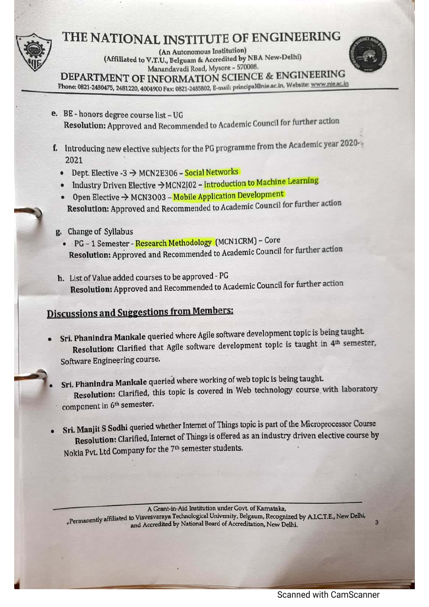(An Autonomous Institution) (Affiliated to V.T.U., Belguam & Accredited by NBA New-Delhi) Manandavadi Road, Mysore - 570008.



DEPARTMENT OF INFORMATION SCIENCE & ENGINEERING

Phone: 0821-2480475, 2481220, 4004900 Fax: 0821-2485802, E-mail: principal@nie.ac.in, Website: www.nie.ac.in

- e. BE honors degree course list UG Resolution: Approved and Recommended to Academic Council for further action
- f. Introducing new elective subjects for the PG programme from the Academic year 2020-2021
	- Dept. Elective -3  $\rightarrow$  MCN2E306 Social Networks
	- Industry Driven Elective -> MCN2I02 Introduction to Machine Learning
	- Open Elective  $\rightarrow$  MCN3003 Mobile Application Development Resolution: Approved and Recommended to Academic Council for further action
- g. Change of Syllabus
	- PG 1 Semester Research Methodology (MCN1CRM) Core Resolution: Approved and Recommended to Academic Council for further action
- h. List of Value added courses to be approved PG Resolution: Approved and Recommended to Academic Council for further action

## **Discussions and Suggestions from Members:**

- Sri. Phanindra Mankale queried where Agile software development topic is being taught. Resolution: Clarified that Agile software development topic is taught in 4th semester, Software Engineering course.
- Sri. Phanindra Mankale queried where working of web topic is being taught. Resolution: Clarified, this topic is covered in Web technology course with laboratory component in 6<sup>th</sup> semester.
- Sri. Manjit S Sodhi queried whether Internet of Things topic is part of the Microprocessor Course Resolution: Clarified, Internet of Things is offered as an industry driven elective course by Nokia Pvt. Ltd Company for the 7<sup>th</sup> semester students.

A Grant-in-Aid Institution under Govt. of Karnataka, "Permanently affiliated to Visvesvaraya Technological University, Belgaum, Recognized by A.I.C.T.E., New Delhi, and Accredited by National Board of Accreditation, New Delhi.

 $\overline{a}$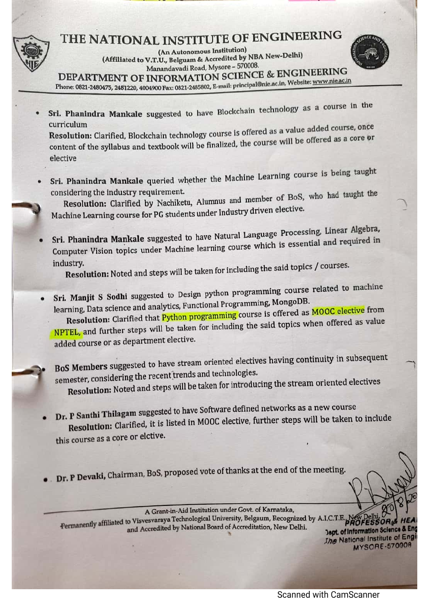(An Autonomous Institution) (Affiliated to V.T.U., Belguam & Accredited by NBA New-Delhi) Manandavadi Road, Mysore - 570008.

DEPARTMENT OF INFORMATION SCIENCE & ENGINEERING

Phone: 0821-2480475, 2481220, 4004900 Fax: 0821-2485802, E-mail: principal@nie.ac.in, Website: www.nie.ac.in

- 
- Sri. Phanindra Mankale suggested to have Blockchain technology as a course in the curriculum

Resolution: Clarified, Blockchain technology course is offered as a value added course, once content of the syllabus and textbook will be finalized, the course will be offered as a core or elective

Sri. Phanindra Mankale queried whether the Machine Learning course is being taught considering the industry requirement.

Resolution: Clarified by Nachiketu, Alumnus and member of BoS, who had taught the Machine Learning course for PG students under Industry driven elective.

Sri. Phanindra Mankale suggested to have Natural Language Processing, Linear Algebra, Computer Vision topics under Machine learning course which is essential and required in industry.

Resolution: Noted and steps will be taken for including the said topics / courses.

Sri. Manjit S Sodhi suggested to Design python programming course related to machine learning, Data science and analytics, Functional Programming, MongoDB.

Resolution: Clarified that Python programming course is offered as MOOC elective from NPTEL, and further steps will be taken for including the said topics when offered as value added course or as department elective.

BoS Members suggested to have stream oriented electives having continuity in subsequent semester, considering the recent trends and technologies.

Resolution: Noted and steps will be taken for introducing the stream oriented electives

Dr. P Santhi Thilagam suggested to have Software defined networks as a new course Resolution: Clarified, it is listed in MOOC elective, further steps will be taken to include this course as a core or elctive.

Dr. P Devaki, Chairman, BoS, proposed vote of thanks at the end of the meeting.

A Grant-in-Aid Institution under Govt. of Karnataka, Permanently affiliated to Visvesvaraya Technological University, Belgaum, Recognized by A.I.C.T.E **PROFESSOR** and Accredited by National Board of Accreditation, New Delhi.

Dept. of Information Science & Eng **Jhe National Institute of Engin** MYSORE-57000R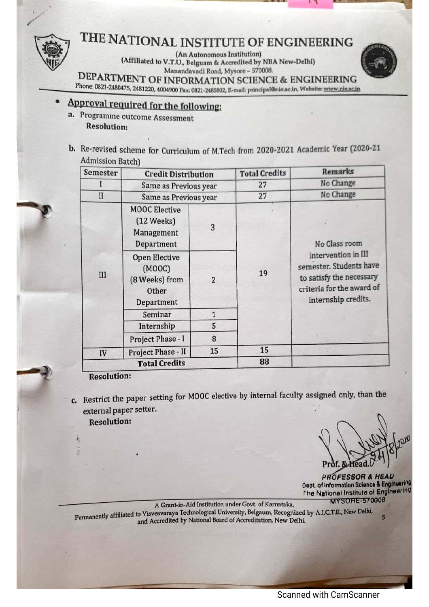(An Autonomous Institution) (Affiliated to V.T.U., Belguam & Accredited by NBA New-Delhi) Manandavadi Road, Mysore - 570008.

DEPARTMENT OF INFORMATION SCIENCE & ENGINEERING

## Phone: 0821-2480475, 2481220, 4004900 Fax: 0821-2485802, E-mail: principal@nie.ac.in, Website: www.nie.ac.in

## Approval required for the following:

- a. Programme outcome Assessment **Resolution:**
- b. Re-revised scheme for Curriculum of M.Tech from 2020-2021 Academic Year (2020-21 **Admission Batch)**

| Semester     | <b>Credit Distribution</b>                                              |                | <b>Total Credits</b> | <b>Remarks</b>                                                                                                                                  |  |
|--------------|-------------------------------------------------------------------------|----------------|----------------------|-------------------------------------------------------------------------------------------------------------------------------------------------|--|
|              | Same as Previous year                                                   |                | 27                   | No Change                                                                                                                                       |  |
| $\mathbf{I}$ | Same as Previous year                                                   |                | 27                   | No Change                                                                                                                                       |  |
|              | <b>MOOC Elective</b><br>(12 Weeks)<br>Management<br>Department          | 3              | 19                   | No Class room<br>intervention in III<br>semester. Students have<br>to satisfy the necessary<br>criteria for the award of<br>internship credits. |  |
| III          | <b>Open Elective</b><br>(MOOC)<br>(8 Weeks) from<br>Other<br>Department | $\overline{2}$ |                      |                                                                                                                                                 |  |
|              | Seminar                                                                 | $\mathbf{1}$   |                      |                                                                                                                                                 |  |
|              | Internship                                                              | 5              |                      |                                                                                                                                                 |  |
|              | Project Phase - I                                                       | 8              |                      |                                                                                                                                                 |  |
| IV           | Project Phase - II                                                      | 15             | 15                   |                                                                                                                                                 |  |
|              | <b>Total Credits</b>                                                    |                | 88                   |                                                                                                                                                 |  |

**Resolution:** 

c. Restrict the paper setting for MOOC elective by internal faculty assigned only, than the external paper setter.

**Resolution:** 

**PROFESSOR & HEAD Oept. of Information Science & Engineering** The National Institute of Engineering **MYSORE-570008** 

A Grant-in-Aid Institution under Govt. of Karnataka. Permanently affiliated to Visvesvaraya Technological University, Belgaum, Recognized by A.I.C.T.E., New Delhi, and Accredited by National Board of Accreditation, New Delhi.

**Scanned with CamScanner**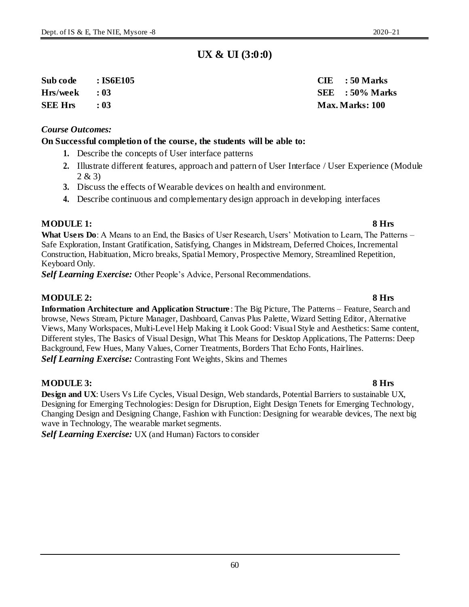60

### **UX & UI (3:0:0)**

**Sub code : IS6E105 CIE : 50 Marks Hrs/week : 03 SEE : 50% Marks**

#### *Course Outcomes:*

#### **On Successful completion of the course, the students will be able to:**

- **1.** Describe the concepts of User interface patterns
- **2.** Illustrate different features, approach and pattern of User Interface / User Experience (Module 2 & 3)
- **3.** Discuss the effects of Wearable devices on health and environment.
- **4.** Describe continuous and complementary design approach in developing interfaces

#### **MODULE 1: 8 Hrs**

**What Users Do**: A Means to an End, the Basics of User Research, Users' Motivation to Learn, The Patterns – Safe Exploration, Instant Gratification, Satisfying, Changes in Midstream, Deferred Choices, Incremental Construction, Habituation, Micro breaks, Spatial Memory, Prospective Memory, Streamlined Repetition, Keyboard Only.

*Self Learning Exercise:* Other People's Advice, Personal Recommendations.

### **MODULE 2: 8 Hrs**

**Information Architecture and Application Structure** : The Big Picture, The Patterns – Feature, Search and browse, News Stream, Picture Manager, Dashboard, Canvas Plus Palette, Wizard Setting Editor, Alternative Views, Many Workspaces, Multi-Level Help Making it Look Good: Visual Style and Aesthetics: Same content, Different styles, The Basics of Visual Design, What This Means for Desktop Applications, The Patterns: Deep Background, Few Hues, Many Values, Corner Treatments, Borders That Echo Fonts, Hairlines. *Self Learning Exercise:* Contrasting Font Weights, Skins and Themes

#### **MODULE 3: 8 Hrs**

**Design and UX**: Users Vs Life Cycles, Visual Design, Web standards, Potential Barriers to sustainable UX, Designing for Emerging Technologies: Design for Disruption, Eight Design Tenets for Emerging Technology, Changing Design and Designing Change, Fashion with Function: Designing for wearable devices, The next big wave in Technology, The wearable market segments.

*Self Learning Exercise:* UX (and Human) Factors to consider

# **SEE Hrs : 03 Max. Marks: 100**